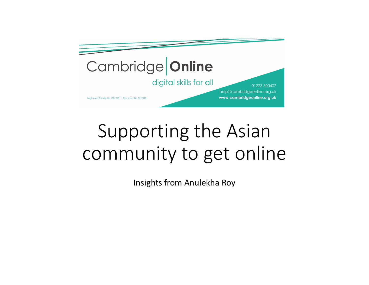

## Supporting the Asian community to get online

Insights from Anulekha Roy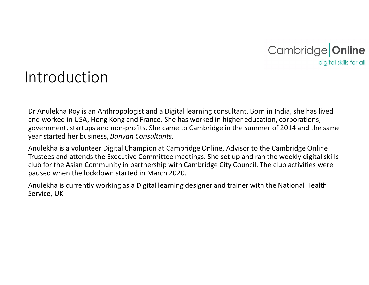

## Introduction

Dr Anulekha Roy is an Anthropologist and a Digital learning consultant. Born in India, she has lived and worked in USA, Hong Kong and France. She has worked in higher education, corporations, government, startups and non-profits. She came to Cambridge in the summer of 2014 and the same year started her business, Banyan Consultants.<br>Anulekha is a volunteer Digital Champion at Cambridge Online, Advisor to the Cambridge Online

Trustees and attends the Executive Committee meetings. She set up and ran the weekly digital skills club for the Asian Community in partnership with Cambridge City Council. The club activities were paused when the lockdown started in March 2020.

Anulekha is currently working as a Digital learning designer and trainer with the National Health Service, UK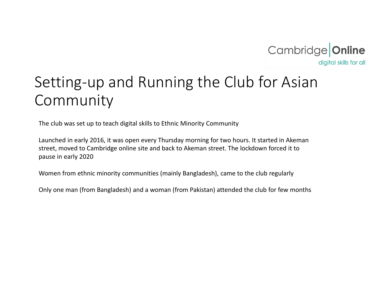

## Setting-up and Running the Club for Asian Community

The club was set up to teach digital skills to Ethnic Minority Community

Launched in early 2016, it was open every Thursday morning for two hours. It started in Akeman street, moved to Cambridge online site and back to Akeman street. The lockdown forced it to pause in early 2020

Women from ethnic minority communities (mainly Bangladesh), came to the club regularly

Only one man (from Bangladesh) and a woman (from Pakistan) attended the club for few months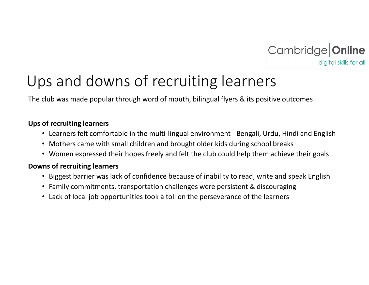

## Ups and downs of recruiting learners Cambridge **Online**<br>
• Gigital skills for all<br>
• Cambridge **Online**<br>
• Learners felt comfortable in the multi-lingual environment - Bengali, Urdu, Hindi and English<br>
• Mothers came with small children and brought older kids

The club was made popular through word of mouth, bilingual flyers & its positive outcomes

#### Ups of recruiting learners

- 
- Mothers came with small children and brought older kids during school breaks
- Women expressed their hopes freely and felt the club could help them achieve their goals

#### Downs of recruiting learners

- Biggest barrier was lack of confidence because of inability to read, write and speak English
- Family commitments, transportation challenges were persistent & discouraging
- Lack of local job opportunities took a toll on the perseverance of the learners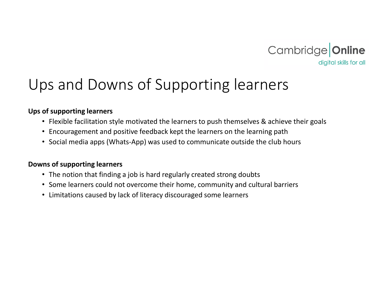

## Ups and Downs of Supporting learners

#### Ups of supporting learners

- Flexible facilitation style motivated the learners to push themselves & achieve their goals
- Encouragement and positive feedback kept the learners on the learning path
- Social media apps (Whats-App) was used to communicate outside the club hours

#### Downs of supporting learners

- The notion that finding a job is hard regularly created strong doubts
- Some learners could not overcome their home, community and cultural barriers
- Limitations caused by lack of literacy discouraged some learners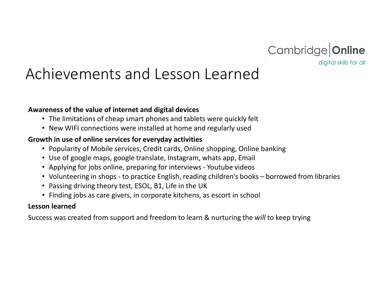

# Achievements and Lesson Learned Friedly Common the Vernium of the state of internet and digital devices<br>
• The limitations of cheap smart phones and tablets were quickly felt<br>
• New WIFI connections were installed at home and regularly used<br>
• New WIFI c

#### Awareness of the value of internet and digital devices

- The limitations of cheap smart phones and tablets were quickly felt
- New WIFI connections were installed at home and regularly used

#### Growth in use of online services for everyday activities

- Popularity of Mobile services, Credit cards, Online shopping, Online banking
- Use of google maps, google translate, Instagram, whats app, Email
- 
- 
- Passing driving theory test, ESOL, B1, Life in the UK
- Finding jobs as care givers, in corporate kitchens, as escort in school

#### Lesson learned

Success was created from support and freedom to learn & nurturing the will to keep trying